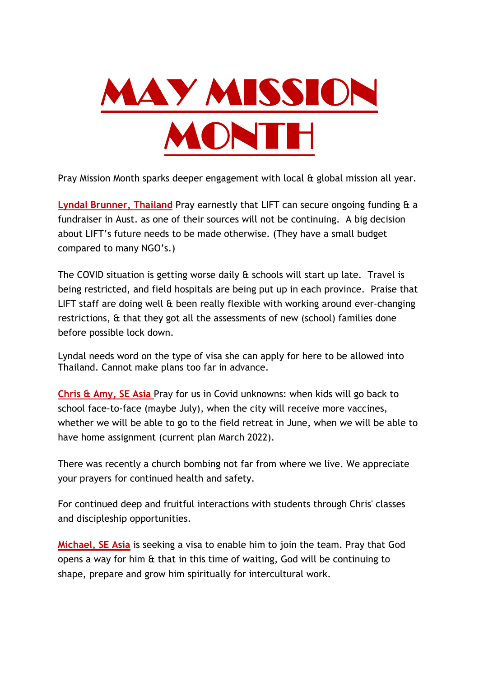

Pray Mission Month sparks deeper engagement with local & global mission all year.

**Lyndal Brunner, Thailand** Pray earnestly that LIFT can secure ongoing funding & a fundraiser in Aust. as one of their sources will not be continuing. A big decision about LIFT's future needs to be made otherwise. (They have a small budget compared to many NGO's.)

The COVID situation is getting worse daily & schools will start up late. Travel is being restricted, and field hospitals are being put up in each province. Praise that LIFT staff are doing well & been really flexible with working around ever-changing restrictions, & that they got all the assessments of new (school) families done before possible lock down.

Lyndal needs word on the type of visa she can apply for here to be allowed into Thailand. Cannot make plans too far in advance.

**Chris & Amy, SE Asia** Pray for us in Covid unknowns: when kids will go back to school face-to-face (maybe July), when the city will receive more vaccines, whether we will be able to go to the field retreat in June, when we will be able to have home assignment (current plan March 2022).

There was recently a church bombing not far from where we live. We appreciate your prayers for continued health and safety.

For continued deep and fruitful interactions with students through Chris' classes and discipleship opportunities.

**Michael, SE Asia** is seeking a visa to enable him to join the team. Pray that God opens a way for him & that in this time of waiting, God will be continuing to shape, prepare and grow him spiritually for intercultural work.